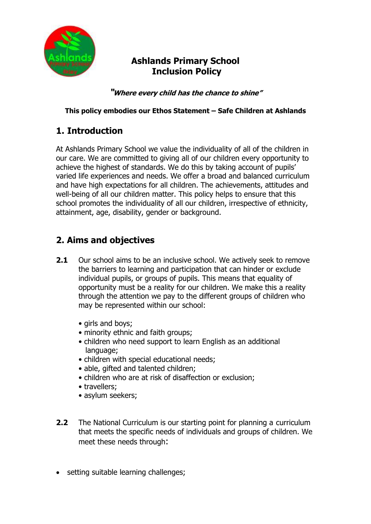

# **Ashlands Primary School Inclusion Policy**

**"Where every child has the chance to shine"**

#### **This policy embodies our Ethos Statement – Safe Children at Ashlands**

# **1. Introduction**

At Ashlands Primary School we value the individuality of all of the children in our care. We are committed to giving all of our children every opportunity to achieve the highest of standards. We do this by taking account of pupils' varied life experiences and needs. We offer a broad and balanced curriculum and have high expectations for all children. The achievements, attitudes and well-being of all our children matter. This policy helps to ensure that this school promotes the individuality of all our children, irrespective of ethnicity, attainment, age, disability, gender or background.

# **2. Aims and objectives**

- **2.1** Our school aims to be an inclusive school. We actively seek to remove the barriers to learning and participation that can hinder or exclude individual pupils, or groups of pupils. This means that equality of opportunity must be a reality for our children. We make this a reality through the attention we pay to the different groups of children who may be represented within our school:
	- girls and boys;
	- minority ethnic and faith groups;
	- children who need support to learn English as an additional language;
	- children with special educational needs;
	- able, gifted and talented children;
	- children who are at risk of disaffection or exclusion;
	- travellers;
	- asylum seekers;
- **2.2** The National Curriculum is our starting point for planning a curriculum that meets the specific needs of individuals and groups of children. We meet these needs through:
- setting suitable learning challenges;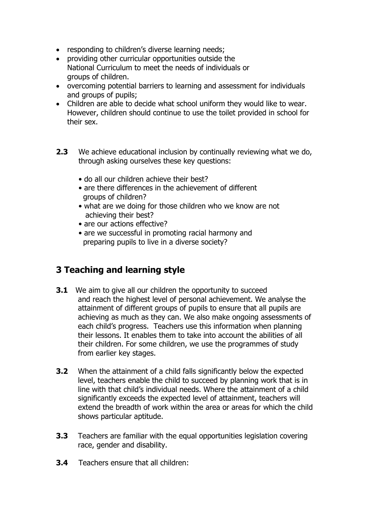- responding to children's diverse learning needs;
- providing other curricular opportunities outside the National Curriculum to meet the needs of individuals or groups of children.
- overcoming potential barriers to learning and assessment for individuals and groups of pupils;
- Children are able to decide what school uniform they would like to wear. However, children should continue to use the toilet provided in school for their sex.
- **2.3** We achieve educational inclusion by continually reviewing what we do, through asking ourselves these key questions:
	- do all our children achieve their best?
	- are there differences in the achievement of different groups of children?
	- what are we doing for those children who we know are not achieving their best?
	- are our actions effective?
	- are we successful in promoting racial harmony and preparing pupils to live in a diverse society?

# **3 Teaching and learning style**

- **3.1** We aim to give all our children the opportunity to succeed and reach the highest level of personal achievement. We analyse the attainment of different groups of pupils to ensure that all pupils are achieving as much as they can. We also make ongoing assessments of each child's progress. Teachers use this information when planning their lessons. It enables them to take into account the abilities of all their children. For some children, we use the programmes of study from earlier key stages.
- **3.2** When the attainment of a child falls significantly below the expected level, teachers enable the child to succeed by planning work that is in line with that child's individual needs. Where the attainment of a child significantly exceeds the expected level of attainment, teachers will extend the breadth of work within the area or areas for which the child shows particular aptitude.
- **3.3** Teachers are familiar with the equal opportunities legislation covering race, gender and disability.
- **3.4** Teachers ensure that all children: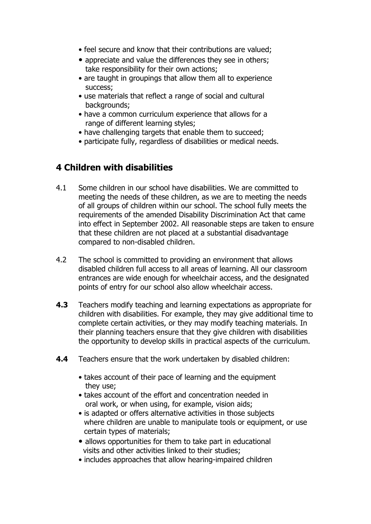- feel secure and know that their contributions are valued;
- appreciate and value the differences they see in others; take responsibility for their own actions;
- are taught in groupings that allow them all to experience success;
- use materials that reflect a range of social and cultural backgrounds;
- have a common curriculum experience that allows for a range of different learning styles;
- have challenging targets that enable them to succeed;
- participate fully, regardless of disabilities or medical needs.

#### **4 Children with disabilities**

- 4.1 Some children in our school have disabilities. We are committed to meeting the needs of these children, as we are to meeting the needs of all groups of children within our school. The school fully meets the requirements of the amended Disability Discrimination Act that came into effect in September 2002. All reasonable steps are taken to ensure that these children are not placed at a substantial disadvantage compared to non-disabled children.
- 4.2 The school is committed to providing an environment that allows disabled children full access to all areas of learning. All our classroom entrances are wide enough for wheelchair access, and the designated points of entry for our school also allow wheelchair access.
- **4.3** Teachers modify teaching and learning expectations as appropriate for children with disabilities. For example, they may give additional time to complete certain activities, or they may modify teaching materials. In their planning teachers ensure that they give children with disabilities the opportunity to develop skills in practical aspects of the curriculum.
- **4.4** Teachers ensure that the work undertaken by disabled children:
	- takes account of their pace of learning and the equipment they use;
	- takes account of the effort and concentration needed in oral work, or when using, for example, vision aids;
	- is adapted or offers alternative activities in those subjects where children are unable to manipulate tools or equipment, or use certain types of materials;
	- allows opportunities for them to take part in educational visits and other activities linked to their studies;
	- includes approaches that allow hearing-impaired children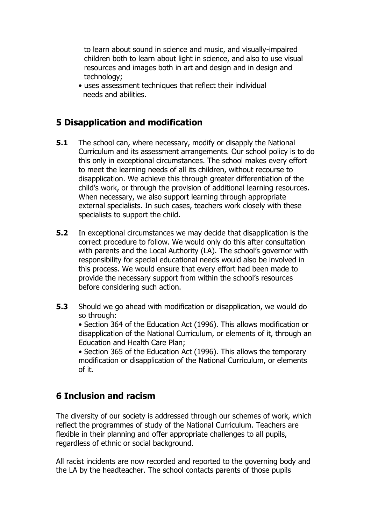to learn about sound in science and music, and visually-impaired children both to learn about light in science, and also to use visual resources and images both in art and design and in design and technology;

• uses assessment techniques that reflect their individual needs and abilities.

#### **5 Disapplication and modification**

- **5.1** The school can, where necessary, modify or disapply the National Curriculum and its assessment arrangements. Our school policy is to do this only in exceptional circumstances. The school makes every effort to meet the learning needs of all its children, without recourse to disapplication. We achieve this through greater differentiation of the child's work, or through the provision of additional learning resources. When necessary, we also support learning through appropriate external specialists. In such cases, teachers work closely with these specialists to support the child.
- **5.2** In exceptional circumstances we may decide that disapplication is the correct procedure to follow. We would only do this after consultation with parents and the Local Authority (LA). The school's governor with responsibility for special educational needs would also be involved in this process. We would ensure that every effort had been made to provide the necessary support from within the school's resources before considering such action.
- **5.3** Should we go ahead with modification or disapplication, we would do so through:

• Section 364 of the Education Act (1996). This allows modification or disapplication of the National Curriculum, or elements of it, through an Education and Health Care Plan;

• Section 365 of the Education Act (1996). This allows the temporary modification or disapplication of the National Curriculum, or elements of it.

#### **6 Inclusion and racism**

The diversity of our society is addressed through our schemes of work, which reflect the programmes of study of the National Curriculum. Teachers are flexible in their planning and offer appropriate challenges to all pupils, regardless of ethnic or social background.

All racist incidents are now recorded and reported to the governing body and the LA by the headteacher. The school contacts parents of those pupils